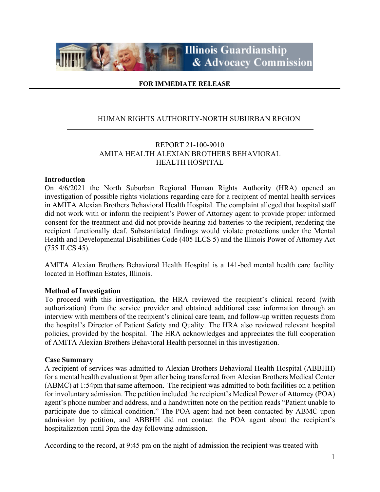

#### **FOR IMMEDIATE RELEASE**

#### HUMAN RIGHTS AUTHORITY-NORTH SUBURBAN REGION

#### REPORT 21-100-9010 AMITA HEALTH ALEXIAN BROTHERS BEHAVIORAL HEALTH HOSPITAL

#### **Introduction**

On 4/6/2021 the North Suburban Regional Human Rights Authority (HRA) opened an investigation of possible rights violations regarding care for a recipient of mental health services in AMITA Alexian Brothers Behavioral Health Hospital. The complaint alleged that hospital staff did not work with or inform the recipient's Power of Attorney agent to provide proper informed consent for the treatment and did not provide hearing aid batteries to the recipient, rendering the recipient functionally deaf. Substantiated findings would violate protections under the Mental Health and Developmental Disabilities Code (405 ILCS 5) and the Illinois Power of Attorney Act (755 ILCS 45).

AMITA Alexian Brothers Behavioral Health Hospital is a 141-bed mental health care facility located in Hoffman Estates, Illinois.

#### **Method of Investigation**

To proceed with this investigation, the HRA reviewed the recipient's clinical record (with authorization) from the service provider and obtained additional case information through an interview with members of the recipient's clinical care team, and follow-up written requests from the hospital's Director of Patient Safety and Quality. The HRA also reviewed relevant hospital policies, provided by the hospital. The HRA acknowledges and appreciates the full cooperation of AMITA Alexian Brothers Behavioral Health personnel in this investigation.

#### **Case Summary**

A recipient of services was admitted to Alexian Brothers Behavioral Health Hospital (ABBHH) for a mental health evaluation at 9pm after being transferred from Alexian Brothers Medical Center (ABMC) at 1:54pm that same afternoon. The recipient was admitted to both facilities on a petition for involuntary admission. The petition included the recipient's Medical Power of Attorney (POA) agent's phone number and address, and a handwritten note on the petition reads "Patient unable to participate due to clinical condition." The POA agent had not been contacted by ABMC upon admission by petition, and ABBHH did not contact the POA agent about the recipient's hospitalization until 3pm the day following admission.

According to the record, at 9:45 pm on the night of admission the recipient was treated with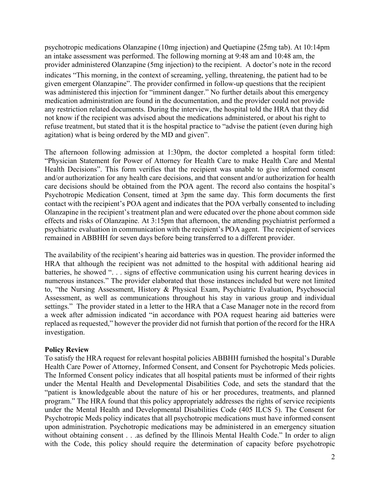psychotropic medications Olanzapine (10mg injection) and Quetiapine (25mg tab). At 10:14pm an intake assessment was performed. The following morning at 9:48 am and 10:48 am, the provider administered Olanzapine (5mg injection) to the recipient. A doctor's note in the record indicates "This morning, in the context of screaming, yelling, threatening, the patient had to be given emergent Olanzapine". The provider confirmed in follow-up questions that the recipient was administered this injection for "imminent danger." No further details about this emergency medication administration are found in the documentation, and the provider could not provide any restriction related documents. During the interview, the hospital told the HRA that they did not know if the recipient was advised about the medications administered, or about his right to refuse treatment, but stated that it is the hospital practice to "advise the patient (even during high agitation) what is being ordered by the MD and given".

The afternoon following admission at 1:30pm, the doctor completed a hospital form titled: "Physician Statement for Power of Attorney for Health Care to make Health Care and Mental Health Decisions". This form verifies that the recipient was unable to give informed consent and/or authorization for any health care decisions, and that consent and/or authorization for health care decisions should be obtained from the POA agent. The record also contains the hospital's Psychotropic Medication Consent, timed at 3pm the same day. This form documents the first contact with the recipient's POA agent and indicates that the POA verbally consented to including Olanzapine in the recipient's treatment plan and were educated over the phone about common side effects and risks of Olanzapine. At 3:15pm that afternoon, the attending psychiatrist performed a psychiatric evaluation in communication with the recipient's POA agent. The recipient of services remained in ABBHH for seven days before being transferred to a different provider.

The availability of the recipient's hearing aid batteries was in question. The provider informed the HRA that although the recipient was not admitted to the hospital with additional hearing aid batteries, he showed ". . . signs of effective communication using his current hearing devices in numerous instances." The provider elaborated that those instances included but were not limited to, "the Nursing Assessment, History & Physical Exam, Psychiatric Evaluation, Psychosocial Assessment, as well as communications throughout his stay in various group and individual settings." The provider stated in a letter to the HRA that a Case Manager note in the record from a week after admission indicated "in accordance with POA request hearing aid batteries were replaced as requested," however the provider did not furnish that portion of the record for the HRA investigation.

#### **Policy Review**

To satisfy the HRA request for relevant hospital policies ABBHH furnished the hospital's Durable Health Care Power of Attorney, Informed Consent, and Consent for Psychotropic Meds policies. The Informed Consent policy indicates that all hospital patients must be informed of their rights under the Mental Health and Developmental Disabilities Code, and sets the standard that the "patient is knowledgeable about the nature of his or her procedures, treatments, and planned program." The HRA found that this policy appropriately addresses the rights of service recipients under the Mental Health and Developmental Disabilities Code (405 ILCS 5). The Consent for Psychotropic Meds policy indicates that all psychotropic medications must have informed consent upon administration. Psychotropic medications may be administered in an emergency situation without obtaining consent . . .as defined by the Illinois Mental Health Code." In order to align with the Code, this policy should require the determination of capacity before psychotropic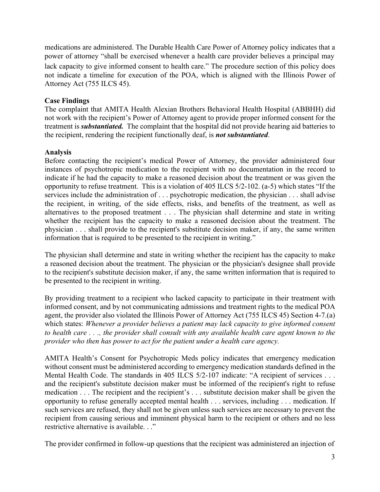medications are administered. The Durable Health Care Power of Attorney policy indicates that a power of attorney "shall be exercised whenever a health care provider believes a principal may lack capacity to give informed consent to health care." The procedure section of this policy does not indicate a timeline for execution of the POA, which is aligned with the Illinois Power of Attorney Act (755 ILCS 45).

### **Case Findings**

The complaint that AMITA Health Alexian Brothers Behavioral Health Hospital (ABBHH) did not work with the recipient's Power of Attorney agent to provide proper informed consent for the treatment is *substantiated.* The complaint that the hospital did not provide hearing aid batteries to the recipient, rendering the recipient functionally deaf, is *not substantiated*.

### **Analysis**

Before contacting the recipient's medical Power of Attorney, the provider administered four instances of psychotropic medication to the recipient with no documentation in the record to indicate if he had the capacity to make a reasoned decision about the treatment or was given the opportunity to refuse treatment. This is a violation of 405 ILCS 5/2-102. (a-5) which states "If the services include the administration of . . . psychotropic medication, the physician . . . shall advise the recipient, in writing, of the side effects, risks, and benefits of the treatment, as well as alternatives to the proposed treatment . . . The physician shall determine and state in writing whether the recipient has the capacity to make a reasoned decision about the treatment. The physician . . . shall provide to the recipient's substitute decision maker, if any, the same written information that is required to be presented to the recipient in writing."

The physician shall determine and state in writing whether the recipient has the capacity to make a reasoned decision about the treatment. The physician or the physician's designee shall provide to the recipient's substitute decision maker, if any, the same written information that is required to be presented to the recipient in writing.

By providing treatment to a recipient who lacked capacity to participate in their treatment with informed consent, and by not communicating admissions and treatment rights to the medical POA agent, the provider also violated the Illinois Power of Attorney Act (755 ILCS 45) Section 4-7.(a) which states: *Whenever a provider believes a patient may lack capacity to give informed consent to health care . . ., the provider shall consult with any available health care agent known to the provider who then has power to act for the patient under a health care agency.* 

AMITA Health's Consent for Psychotropic Meds policy indicates that emergency medication without consent must be administered according to emergency medication standards defined in the Mental Health Code. The standards in 405 ILCS 5/2-107 indicate: "A recipient of services . . . and the recipient's substitute decision maker must be informed of the recipient's right to refuse medication . . . The recipient and the recipient's . . . substitute decision maker shall be given the opportunity to refuse generally accepted mental health . . . services, including . . . medication. If such services are refused, they shall not be given unless such services are necessary to prevent the recipient from causing serious and imminent physical harm to the recipient or others and no less restrictive alternative is available. . ."

The provider confirmed in follow-up questions that the recipient was administered an injection of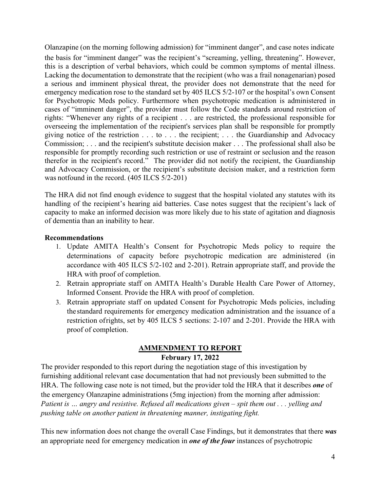Olanzapine (on the morning following admission) for "imminent danger", and case notes indicate the basis for "imminent danger" was the recipient's "screaming, yelling, threatening". However, this is a description of verbal behaviors, which could be common symptoms of mental illness. Lacking the documentation to demonstrate that the recipient (who was a frail nonagenarian) posed a serious and imminent physical threat, the provider does not demonstrate that the need for emergency medication rose to the standard set by 405 ILCS 5/2-107 or the hospital's own Consent for Psychotropic Meds policy. Furthermore when psychotropic medication is administered in cases of "imminent danger", the provider must follow the Code standards around restriction of rights: "Whenever any rights of a recipient . . . are restricted, the professional responsible for overseeing the implementation of the recipient's services plan shall be responsible for promptly giving notice of the restriction . . . to . . . the recipient; . . . the Guardianship and Advocacy Commission; . . . and the recipient's substitute decision maker . . . The professional shall also be responsible for promptly recording such restriction or use of restraint or seclusion and the reason therefor in the recipient's record." The provider did not notify the recipient, the Guardianship and Advocacy Commission, or the recipient's substitute decision maker, and a restriction form was not found in the record.  $(405$  ILCS  $5/2$ -201)

The HRA did not find enough evidence to suggest that the hospital violated any statutes with its handling of the recipient's hearing aid batteries. Case notes suggest that the recipient's lack of capacity to make an informed decision was more likely due to his state of agitation and diagnosis of dementia than an inability to hear.

#### **Recommendations**

- 1. Update AMITA Health's Consent for Psychotropic Meds policy to require the determinations of capacity before psychotropic medication are administered (in accordance with 405 ILCS 5/2-102 and 2-201). Retrain appropriate staff, and provide the HRA with proof of completion.
- 2. Retrain appropriate staff on AMITA Health's Durable Health Care Power of Attorney, Informed Consent. Provide the HRA with proof of completion.
- 3. Retrain appropriate staff on updated Consent for Psychotropic Meds policies, including the standard requirements for emergency medication administration and the issuance of a restriction of rights, set by 405 ILCS 5 sections: 2-107 and 2-201. Provide the HRA with proof of completion.

### **AMMENDMENT TO REPORT**

### **February 17, 2022**

The provider responded to this report during the negotiation stage of this investigation by furnishing additional relevant case documentation that had not previously been submitted to the HRA. The following case note is not timed, but the provider told the HRA that it describes *one* of the emergency Olanzapine administrations (5mg injection) from the morning after admission: *Patient is … angry and resistive. Refused all medications given – spit them out . . . yelling and pushing table on another patient in threatening manner, instigating fight.* 

This new information does not change the overall Case Findings, but it demonstrates that there *was* an appropriate need for emergency medication in *one of the four* instances of psychotropic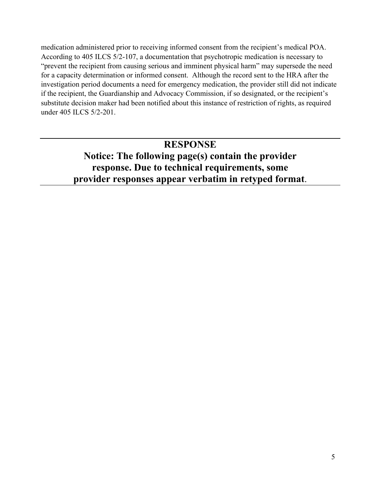medication administered prior to receiving informed consent from the recipient's medical POA. According to 405 ILCS 5/2-107, a documentation that psychotropic medication is necessary to "prevent the recipient from causing serious and imminent physical harm" may supersede the need for a capacity determination or informed consent. Although the record sent to the HRA after the investigation period documents a need for emergency medication, the provider still did not indicate if the recipient, the Guardianship and Advocacy Commission, if so designated, or the recipient's substitute decision maker had been notified about this instance of restriction of rights, as required under 405 ILCS 5/2-201.

### **RESPONSE**

### **Notice: The following page(s) contain the provider response. Due to technical requirements, some provider responses appear verbatim in retyped format**.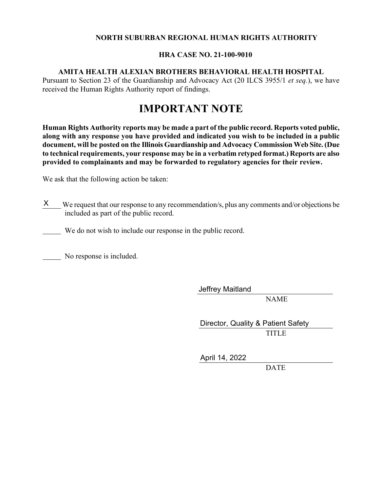#### **NORTH SUBURBAN REGIONAL HUMAN RIGHTS AUTHORITY**

#### **HRA CASE NO. 21-100-9010**

#### **AMITA HEALTH ALEXIAN BROTHERS BEHAVIORAL HEALTH HOSPITAL**

Pursuant to Section 23 of the Guardianship and Advocacy Act (20 ILCS 3955/1 *et seq.*), we have received the Human Rights Authority report of findings.

### **IMPORTANT NOTE**

**Human Rights Authority reports may be made a part of the public record. Reports voted public, along with any response you have provided and indicated you wish to be included in a public document, will be posted on the Illinois Guardianship and Advocacy Commission Web Site. (Due to technical requirements, your response may be in a verbatim retyped format.) Reports are also provided to complainants and may be forwarded to regulatory agencies for their review.** 

We ask that the following action be taken:

X We request that our response to any recommendation/s, plus any comments and/or objections be included as part of the public record.

We do not wish to include our response in the public record.

No response is included.

Jeffrey Maitland

NAME

**TITLE** Director, Quality & Patient Safety

April 14, 2022

**DATE**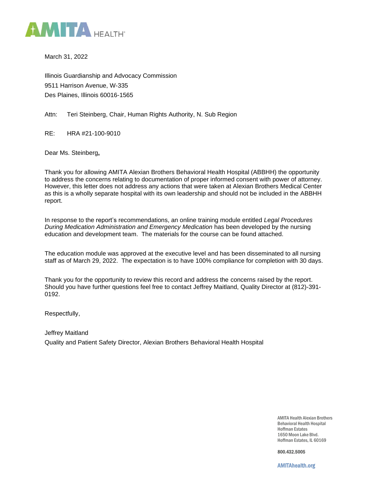

March 31, 2022

Illinois Guardianship and Advocacy Commission 9511 Harrison Avenue, W-335 Des Plaines, Illinois 60016-1565

Attn: Teri Steinberg, Chair, Human Rights Authority, N. Sub Region

RE: HRA #21-100-9010

Dear Ms. Steinberg**,**

Thank you for allowing AMITA Alexian Brothers Behavioral Health Hospital (ABBHH) the opportunity to address the concerns relating to documentation of proper informed consent with power of attorney. However, this letter does not address any actions that were taken at Alexian Brothers Medical Center as this is a wholly separate hospital with its own leadership and should not be included in the ABBHH report.

In response to the report's recommendations, an online training module entitled *Legal Procedures During Medication Administration and Emergency Medication* has been developed by the nursing education and development team. The materials for the course can be found attached.

The education module was approved at the executive level and has been disseminated to all nursing staff as of March 29, 2022. The expectation is to have 100% compliance for completion with 30 days.

Thank you for the opportunity to review this record and address the concerns raised by the report. Should you have further questions feel free to contact Jeffrey Maitland, Quality Director at (812)-391- 0192.

Respectfully,

Jeffrey Maitland Quality and Patient Safety Director, Alexian Brothers Behavioral Health Hospital

> AMITA Health Alexian Brothers Behavioral Health Hospital Hoffman Estates 1650 Moon Lake Blvd. Hoffman Estates, IL 60169

800.432.5005

AMITAhealth.org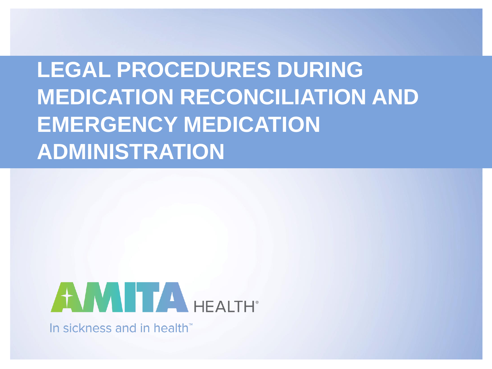# **LEGAL PROCEDURES DURING MEDICATION RECONCILIATION AND EMERGENCY MEDICATION ADMINISTRATION**



In sickness and in health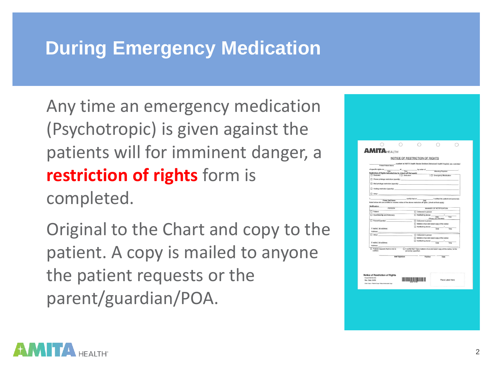# **During Emergency Medication**

Any time an emergency medication (Psychotropic) is given against the patients will for imminent danger, a **restriction of rights** form is completed.

Original to the Chart and copy to the patient. A copy is mailed to anyone the patient requests or the parent/guardian/POA.

| <b>AMITAHEALTH</b>                                                                 |                 |                                                                                                                    |                                                                                                                                                                                                                                                                                                                                                                                                                     |  |
|------------------------------------------------------------------------------------|-----------------|--------------------------------------------------------------------------------------------------------------------|---------------------------------------------------------------------------------------------------------------------------------------------------------------------------------------------------------------------------------------------------------------------------------------------------------------------------------------------------------------------------------------------------------------------|--|
|                                                                                    |                 | NOTICE OF RESTRICTION OF RIGHTS                                                                                    |                                                                                                                                                                                                                                                                                                                                                                                                                     |  |
|                                                                                    |                 |                                                                                                                    | A patient at AMITA Health Alexian Brothers Behavioral Health Hospital, was restricted                                                                                                                                                                                                                                                                                                                               |  |
|                                                                                    |                 |                                                                                                                    |                                                                                                                                                                                                                                                                                                                                                                                                                     |  |
| Restriction of Rights indicated due to: (check all that apply)<br>$\Box$ Restraint | □ Sedusion      |                                                                                                                    | <b>Emergency Medication</b>                                                                                                                                                                                                                                                                                                                                                                                         |  |
| Phone privilege restriction (specify):                                             |                 |                                                                                                                    |                                                                                                                                                                                                                                                                                                                                                                                                                     |  |
| Mail privilege restriction (specify):                                              |                 |                                                                                                                    |                                                                                                                                                                                                                                                                                                                                                                                                                     |  |
| Visiting restriction (specify):                                                    |                 |                                                                                                                    |                                                                                                                                                                                                                                                                                                                                                                                                                     |  |
| Other:                                                                             |                 |                                                                                                                    |                                                                                                                                                                                                                                                                                                                                                                                                                     |  |
| ۱.                                                                                 | ontify that on  |                                                                                                                    | . I notified the patient and person(s)                                                                                                                                                                                                                                                                                                                                                                              |  |
| Printed Staff Name                                                                 |                 | Date<br>listed below who are entitled to receive notice of the above restriction of rights: (check all that apply) |                                                                                                                                                                                                                                                                                                                                                                                                                     |  |
| Notification                                                                       | PERSON          |                                                                                                                    | MANNER OF NOTIFICATION                                                                                                                                                                                                                                                                                                                                                                                              |  |
| $\Box$ Patient                                                                     |                 | Delivered in person                                                                                                |                                                                                                                                                                                                                                                                                                                                                                                                                     |  |
| Guardianship and Advocacy                                                          |                 | Notified by phone:                                                                                                 | $\overline{a}$<br>Oate<br>Time                                                                                                                                                                                                                                                                                                                                                                                      |  |
| Parent/Guardian:                                                                   |                 | Delivered in person                                                                                                | (Phone: 312-793-5900)                                                                                                                                                                                                                                                                                                                                                                                               |  |
|                                                                                    |                 |                                                                                                                    | Mailed a true and exact copy of the notice                                                                                                                                                                                                                                                                                                                                                                          |  |
| If mailed, list address:                                                           |                 |                                                                                                                    |                                                                                                                                                                                                                                                                                                                                                                                                                     |  |
| Address:                                                                           |                 |                                                                                                                    |                                                                                                                                                                                                                                                                                                                                                                                                                     |  |
| $\Box$ Other:                                                                      |                 | <b>Delivered</b> in person                                                                                         | Mailed a true and exact copy of the notice                                                                                                                                                                                                                                                                                                                                                                          |  |
| If mailed, list address:                                                           |                 | Notified by phone:                                                                                                 | $rac{1}{\sqrt{1-\frac{1}{2}}\sqrt{1-\frac{1}{2}}\sqrt{1-\frac{1}{2}}\sqrt{1-\frac{1}{2}}\sqrt{1-\frac{1}{2}}\sqrt{1-\frac{1}{2}}\sqrt{1-\frac{1}{2}}\sqrt{1-\frac{1}{2}}\sqrt{1-\frac{1}{2}}\sqrt{1-\frac{1}{2}}\sqrt{1-\frac{1}{2}}\sqrt{1-\frac{1}{2}}\sqrt{1-\frac{1}{2}}\sqrt{1-\frac{1}{2}}\sqrt{1-\frac{1}{2}}\sqrt{1-\frac{1}{2}}\sqrt{1-\frac{1}{2}}\sqrt{1-\frac{1}{2}}\sqrt{1-\frac{1}{2}}\sqrt{1-\frac{$ |  |
| Address:                                                                           |                 |                                                                                                                    |                                                                                                                                                                                                                                                                                                                                                                                                                     |  |
| Patient requests that no one is<br>notified.                                       |                 | person(s) specified.                                                                                               | I certify that I have mailed a true and exact copy of this notice, to the                                                                                                                                                                                                                                                                                                                                           |  |
|                                                                                    |                 |                                                                                                                    |                                                                                                                                                                                                                                                                                                                                                                                                                     |  |
|                                                                                    | Staff Signature | Position                                                                                                           | Date                                                                                                                                                                                                                                                                                                                                                                                                                |  |
|                                                                                    |                 |                                                                                                                    |                                                                                                                                                                                                                                                                                                                                                                                                                     |  |
|                                                                                    |                 |                                                                                                                    |                                                                                                                                                                                                                                                                                                                                                                                                                     |  |
|                                                                                    |                 |                                                                                                                    |                                                                                                                                                                                                                                                                                                                                                                                                                     |  |
| <b>Notice of Restriction of Rights</b><br>Form # 6010-443                          |                 |                                                                                                                    |                                                                                                                                                                                                                                                                                                                                                                                                                     |  |
| Rev. Date: 04/09                                                                   |                 |                                                                                                                    | Place Label Here                                                                                                                                                                                                                                                                                                                                                                                                    |  |
| Charl Copy - Patient Copy: Patient Advocate Copy                                   |                 |                                                                                                                    |                                                                                                                                                                                                                                                                                                                                                                                                                     |  |
|                                                                                    |                 |                                                                                                                    |                                                                                                                                                                                                                                                                                                                                                                                                                     |  |
|                                                                                    |                 |                                                                                                                    |                                                                                                                                                                                                                                                                                                                                                                                                                     |  |

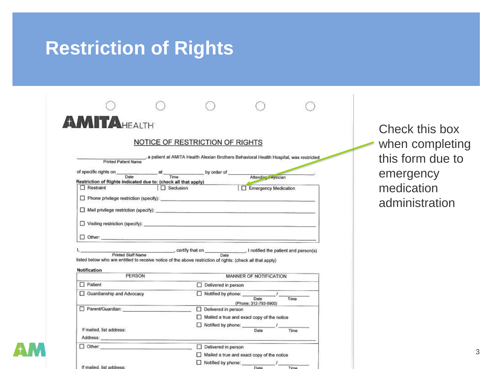## **Restriction of Rights**

| <b>MITAHEALTH</b>                                                                                          |                                 |                            |                                                                                                              |      |
|------------------------------------------------------------------------------------------------------------|---------------------------------|----------------------------|--------------------------------------------------------------------------------------------------------------|------|
|                                                                                                            | NOTICE OF RESTRICTION OF RIGHTS |                            |                                                                                                              |      |
|                                                                                                            |                                 |                            |                                                                                                              |      |
|                                                                                                            |                                 |                            | Printed Patient Name , a patient at AMITA Health Alexian Brothers Behavioral Health Hospital, was restricted |      |
|                                                                                                            |                                 |                            |                                                                                                              |      |
| of specific rights on <u>Date</u> at Time by order of <u>Attending</u> Privation                           |                                 |                            |                                                                                                              |      |
| Restriction of Rights indicated due to: (check all that apply)                                             |                                 |                            | Emergency Medication                                                                                         |      |
| $\Box$ Restraint                                                                                           | $\Box$ Seclusion                |                            |                                                                                                              |      |
|                                                                                                            |                                 |                            |                                                                                                              |      |
|                                                                                                            |                                 |                            |                                                                                                              |      |
|                                                                                                            |                                 |                            |                                                                                                              |      |
|                                                                                                            |                                 |                            |                                                                                                              |      |
|                                                                                                            |                                 |                            |                                                                                                              |      |
|                                                                                                            |                                 |                            |                                                                                                              |      |
|                                                                                                            |                                 |                            |                                                                                                              |      |
|                                                                                                            |                                 |                            |                                                                                                              |      |
|                                                                                                            |                                 |                            |                                                                                                              |      |
| Printed Staff Name certify that on Date January 1 notified the patient and person(s)                       |                                 |                            |                                                                                                              |      |
| listed below who are entitled to receive notice of the above restriction of rights: (check all that apply) |                                 |                            |                                                                                                              |      |
| Notification                                                                                               |                                 |                            |                                                                                                              |      |
| PERSON                                                                                                     |                                 |                            | MANNER OF NOTIFICATION                                                                                       |      |
| $\Box$ Patient                                                                                             |                                 | $\Box$ Delivered in person |                                                                                                              |      |
| Guardianship and Advocacy                                                                                  |                                 |                            |                                                                                                              |      |
|                                                                                                            |                                 |                            |                                                                                                              | Time |
|                                                                                                            |                                 |                            | (Phone: 312-793-5900)                                                                                        |      |
| Parent/Guardian: Parent/Guardian:                                                                          |                                 | $\Box$ Delivered in person |                                                                                                              |      |
|                                                                                                            |                                 |                            | $\Box$ Mailed a true and exact copy of the notice                                                            |      |
| If mailed, list address:                                                                                   |                                 | Notified by phone:         | Date                                                                                                         | Time |
|                                                                                                            |                                 |                            |                                                                                                              |      |
|                                                                                                            |                                 |                            |                                                                                                              |      |
| $\Box$ Other:                                                                                              |                                 | Delivered in person        |                                                                                                              |      |
|                                                                                                            |                                 |                            | Mailed a true and exact copy of the notice                                                                   |      |

Check this box when completing this form due to emergency medication administration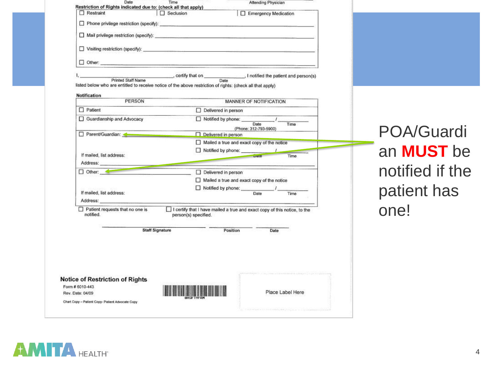| Date<br>Restriction of Rights indicated due to: (check all that apply)                                     | Time                                    |                                                                           | Attending Physician           |                  |
|------------------------------------------------------------------------------------------------------------|-----------------------------------------|---------------------------------------------------------------------------|-------------------------------|------------------|
| $\Box$ Restraint                                                                                           | $\Box$ Seclusion                        |                                                                           | Emergency Medication          |                  |
|                                                                                                            |                                         |                                                                           |                               |                  |
|                                                                                                            |                                         |                                                                           |                               |                  |
|                                                                                                            |                                         |                                                                           |                               |                  |
|                                                                                                            |                                         |                                                                           |                               |                  |
| Printed Staff Name                                                                                         | certify that on Date and person(s) Date |                                                                           |                               |                  |
| listed below who are entitled to receive notice of the above restriction of rights: (check all that apply) |                                         |                                                                           |                               |                  |
| Notification                                                                                               |                                         |                                                                           |                               |                  |
| PERSON                                                                                                     |                                         |                                                                           | MANNER OF NOTIFICATION        |                  |
| $\Box$ Patient                                                                                             |                                         | Delivered in person                                                       |                               |                  |
| Guardianship and Advocacy                                                                                  |                                         | Notified by phone:                                                        |                               |                  |
|                                                                                                            |                                         |                                                                           | Date<br>(Phone: 312-793-5900) | Time             |
| Parent/Guardian:                                                                                           |                                         | $\Box$ Delivered in person                                                |                               |                  |
|                                                                                                            |                                         | $\Box$ Mailed a true and exact copy of the notice                         |                               |                  |
|                                                                                                            |                                         | Notified by phone:                                                        |                               |                  |
| If mailed, list address:<br>Address:                                                                       |                                         |                                                                           | $\rho$ ate                    | Time:            |
| $\Box$ Other:                                                                                              |                                         |                                                                           |                               |                  |
|                                                                                                            |                                         | Delivered in person<br>$\Box$ Mailed a true and exact copy of the notice  |                               |                  |
|                                                                                                            |                                         | Notified by phone:                                                        |                               |                  |
| If mailed, list address:                                                                                   |                                         |                                                                           | Date                          | Time             |
| Address:                                                                                                   |                                         |                                                                           |                               |                  |
| Patient requests that no one is<br>notified.                                                               | person(s) specified.                    | I certify that I have mailed a true and exact copy of this notice, to the |                               |                  |
|                                                                                                            | <b>Staff Signature</b>                  | Position                                                                  | Date                          |                  |
|                                                                                                            |                                         |                                                                           |                               |                  |
| <b>Notice of Restriction of Rights</b>                                                                     |                                         |                                                                           |                               |                  |
| Form # 6010-443<br>Rev. Date: 04/09                                                                        |                                         |                                                                           |                               | Place Label Here |
|                                                                                                            |                                         |                                                                           |                               |                  |
| Chart Copy - Patient Copy- Patient Advocate Copy                                                           |                                         |                                                                           |                               |                  |

POA/Guardi an **MUST** be notified if the patient has one!

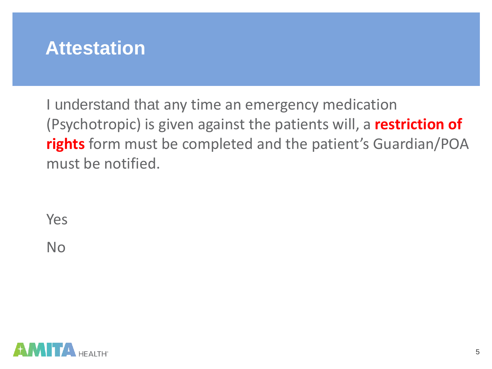## **Attestation**

I understand that any time an emergency medication (Psychotropic) is given against the patients will, a **restriction of rights** form must be completed and the patient's Guardian/POA must be notified.

Yes

No

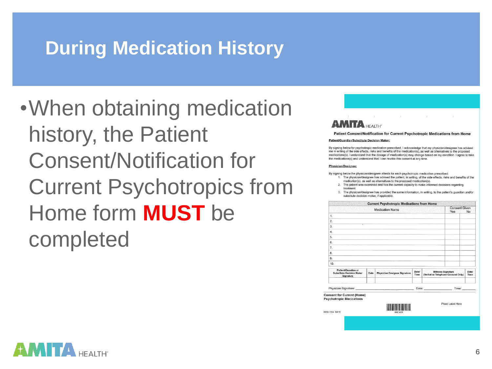# **During Medication History**

•When obtaining medication history, the Patient Consent/Notification for Current Psychotropics from Home form **MUST** be completed



Patient Consent/Notification for Current Psychotropic Medications from Home

#### Patient/Guardian/Substitute Decision Maker:

By signing below for psychotropic medication prescribed, I acknowledge that my physician/designee has advised me in writing of the side effects, risks and benefits of the medication(s), as well as alternatives to the proposed medications(s). I understand that the dosage of medication(s) may change based on my condition. I agree to take the medications(s) and understand that I can revoke this consent at any time.

#### Physician/Designee:

By signing below the physician/designee attests for each psychotropic medication prescribed:

- 1. The physician/designee has advised the patient, in writing, of the side effects, risks and benefits of the medication(s), as well as alternatives to the proposed medication(s).
- 2. The patient was examined and has the current capacity to make informed decisions regarding treatment
- The physician/designee has provided the same information, in writing, to the patient's guardian and/or substitute decision maker, if applicable.



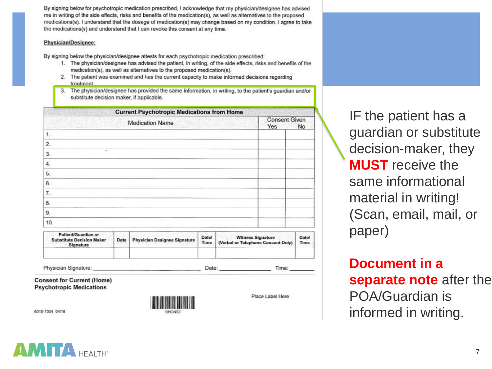By signing below for psychotropic medication prescribed, I acknowledge that my physician/designee has advised me in writing of the side effects, risks and benefits of the medication(s), as well as alternatives to the proposed medications(s). I understand that the dosage of medication(s) may change based on my condition. I agree to take the medications(s) and understand that I can revoke this consent at any time.

#### Physician/Designee:

By signing below the physician/designee attests for each psychotropic medication prescribed:

- 1. The physician/designee has advised the patient, in writing, of the side effects, risks and benefits of the medication(s), as well as alternatives to the proposed medication(s).
- 2. The patient was examined and has the current capacity to make informed decisions regarding treatment
- 3. The physician/designee has provided the same information, in writing, to the patient's quardian and/or substitute decision maker, if applicable.

| <b>Current Psychotropic Medications from Home</b> |                             |    |  |  |  |  |
|---------------------------------------------------|-----------------------------|----|--|--|--|--|
| <b>Medication Name</b>                            | <b>Consent Given</b><br>Yes | No |  |  |  |  |
| 1.                                                |                             |    |  |  |  |  |
| 2.                                                |                             |    |  |  |  |  |
| ٠<br>3.                                           |                             |    |  |  |  |  |
| 4.                                                |                             |    |  |  |  |  |
| 5.                                                |                             |    |  |  |  |  |
| 6.                                                |                             |    |  |  |  |  |
| 7.                                                |                             |    |  |  |  |  |
| 8.                                                |                             |    |  |  |  |  |
| 9.                                                |                             |    |  |  |  |  |
| 10.                                               |                             |    |  |  |  |  |

| Patient/Guardian or<br><b>Substitute Decision Maker</b><br>Signature | Date | <b>Physician Designee Signature</b> | Date/<br><b>Time</b> | <b>Witness Signature</b><br>(Verbal or Telephone Consent Only) | <b>Date/</b><br>Time |
|----------------------------------------------------------------------|------|-------------------------------------|----------------------|----------------------------------------------------------------|----------------------|
| Physician Signature:                                                 |      |                                     | Date:                | Time:                                                          |                      |

**Consent for Current (Home) Psychotropic Medications** 

6010-1034 04/18



Place Label Here

IF the patient has a guardian or substitute decision-maker, they **MUST** receive the same informational material in writing! (Scan, email, mail, or paper)

**Document in a separate note** after the POA/Guardian is informed in writing.

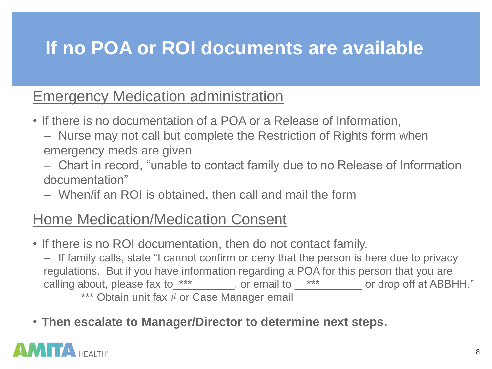# **If no POA or ROI documents are available**

### Emergency Medication administration

- If there is no documentation of a POA or a Release of Information,
	- Nurse may not call but complete the Restriction of Rights form when emergency meds are given
	- Chart in record, "unable to contact family due to no Release of Information documentation"
	- When/if an ROI is obtained, then call and mail the form

## Home Medication/Medication Consent

• If there is no ROI documentation, then do not contact family.

– If family calls, state "I cannot confirm or deny that the person is here due to privacy regulations. But if you have information regarding a POA for this person that you are calling about, please fax to\_\*\*\*\_\_\_\_\_\_, or email to \_\*\*\*\_\_\_\_\_ or drop off at ABBHH." \*\*\* Obtain unit fax # or Case Manager email

• **Then escalate to Manager/Director to determine next steps**.

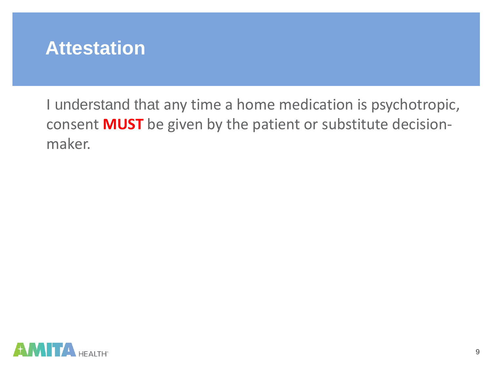

I understand that any time a home medication is psychotropic, consent **MUST** be given by the patient or substitute decisionmaker.